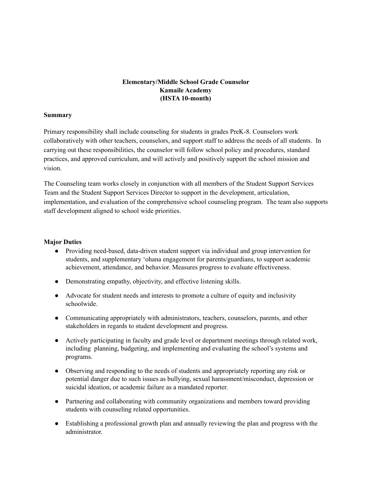## **Elementary/Middle School Grade Counselor Kamaile Academy (HSTA 10-month)**

#### **Summary**

Primary responsibility shall include counseling for students in grades PreK-8. Counselors work collaboratively with other teachers, counselors, and support staff to address the needs of all students. In carrying out these responsibilities, the counselor will follow school policy and procedures, standard practices, and approved curriculum, and will actively and positively support the school mission and vision.

The Counseling team works closely in conjunction with all members of the Student Support Services Team and the Student Support Services Director to support in the development, articulation, implementation, and evaluation of the comprehensive school counseling program. The team also supports staff development aligned to school wide priorities.

#### **Major Duties**

- Providing need-based, data-driven student support via individual and group intervention for students, and supplementary ʻohana engagement for parents/guardians, to support academic achievement, attendance, and behavior. Measures progress to evaluate effectiveness.
- Demonstrating empathy, objectivity, and effective listening skills.
- Advocate for student needs and interests to promote a culture of equity and inclusivity schoolwide.
- Communicating appropriately with administrators, teachers, counselors, parents, and other stakeholders in regards to student development and progress.
- Actively participating in faculty and grade level or department meetings through related work, including planning, budgeting, and implementing and evaluating the school's systems and programs.
- Observing and responding to the needs of students and appropriately reporting any risk or potential danger due to such issues as bullying, sexual harassment/misconduct, depression or suicidal ideation, or academic failure as a mandated reporter.
- Partnering and collaborating with community organizations and members toward providing students with counseling related opportunities.
- Establishing a professional growth plan and annually reviewing the plan and progress with the administrator.